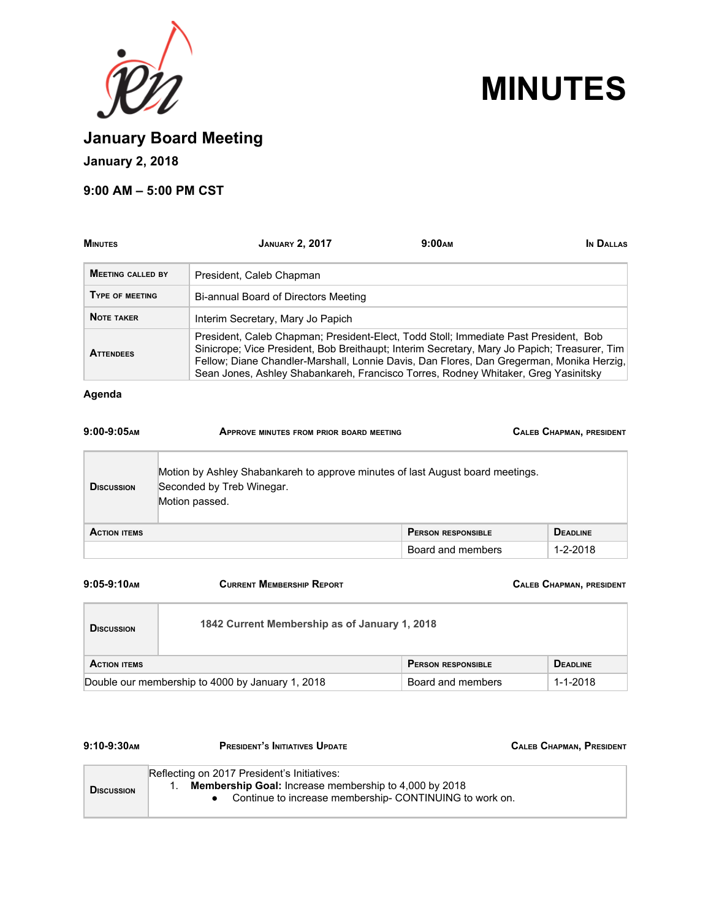



**January Board Meeting**

# **January 2, 2018**

## **9:00 AM – 5:00 PM CST**

| <b>MINUTES</b>           | <b>JANUARY 2, 2017</b>                                                                                                                                                                                                                                                                                                                                                 | 9:00 <sub>AM</sub> | IN DALLAS |
|--------------------------|------------------------------------------------------------------------------------------------------------------------------------------------------------------------------------------------------------------------------------------------------------------------------------------------------------------------------------------------------------------------|--------------------|-----------|
| <b>MEETING CALLED BY</b> | President, Caleb Chapman                                                                                                                                                                                                                                                                                                                                               |                    |           |
| <b>TYPE OF MEETING</b>   | Bi-annual Board of Directors Meeting                                                                                                                                                                                                                                                                                                                                   |                    |           |
| <b>NOTE TAKER</b>        | Interim Secretary, Mary Jo Papich                                                                                                                                                                                                                                                                                                                                      |                    |           |
| <b>ATTENDEES</b>         | President, Caleb Chapman; President-Elect, Todd Stoll; Immediate Past President, Bob<br>Sinicrope; Vice President, Bob Breithaupt; Interim Secretary, Mary Jo Papich; Treasurer, Tim<br>Fellow; Diane Chandler-Marshall, Lonnie Davis, Dan Flores, Dan Gregerman, Monika Herzig,<br>Sean Jones, Ashley Shabankareh, Francisco Torres, Rodney Whitaker, Greg Yasinitsky |                    |           |

## **Agenda**

| $9:00-9:05$ AM      | <b>APPROVE MINUTES FROM PRIOR BOARD MEETING</b>                                                                               |                           | <b>CALEB CHAPMAN, PRESIDENT</b> |
|---------------------|-------------------------------------------------------------------------------------------------------------------------------|---------------------------|---------------------------------|
| <b>D</b> ISCUSSION  | Motion by Ashley Shabankareh to approve minutes of last August board meetings.<br>Seconded by Treb Winegar.<br>Motion passed. |                           |                                 |
| <b>ACTION ITEMS</b> |                                                                                                                               | <b>PERSON RESPONSIBLE</b> | <b>DEADLINE</b>                 |
|                     |                                                                                                                               | Board and members         | $1 - 2 - 2018$                  |

| $9:05-9:10$ <sub>AM</sub> | <b>CURRENT MEMBERSHIP REPORT</b>                 |                           | <b>CALEB CHAPMAN, PRESIDENT</b> |
|---------------------------|--------------------------------------------------|---------------------------|---------------------------------|
| <b>DISCUSSION</b>         | 1842 Current Membership as of January 1, 2018    |                           |                                 |
| <b>ACTION ITEMS</b>       |                                                  | <b>PERSON RESPONSIBLE</b> | <b>DEADLINE</b>                 |
|                           | Double our membership to 4000 by January 1, 2018 | Board and members         | $1 - 1 - 2018$                  |

| $9:10-9:30$ AM    | <b>PRESIDENT'S INITIATIVES UPDATE</b>                                                                                                                          | <b>CALEB CHAPMAN, PRESIDENT</b> |
|-------------------|----------------------------------------------------------------------------------------------------------------------------------------------------------------|---------------------------------|
| <b>DISCUSSION</b> | Reflecting on 2017 President's Initiatives:<br>Membership Goal: Increase membership to 4,000 by 2018<br>Continue to increase membership-CONTINUING to work on. |                                 |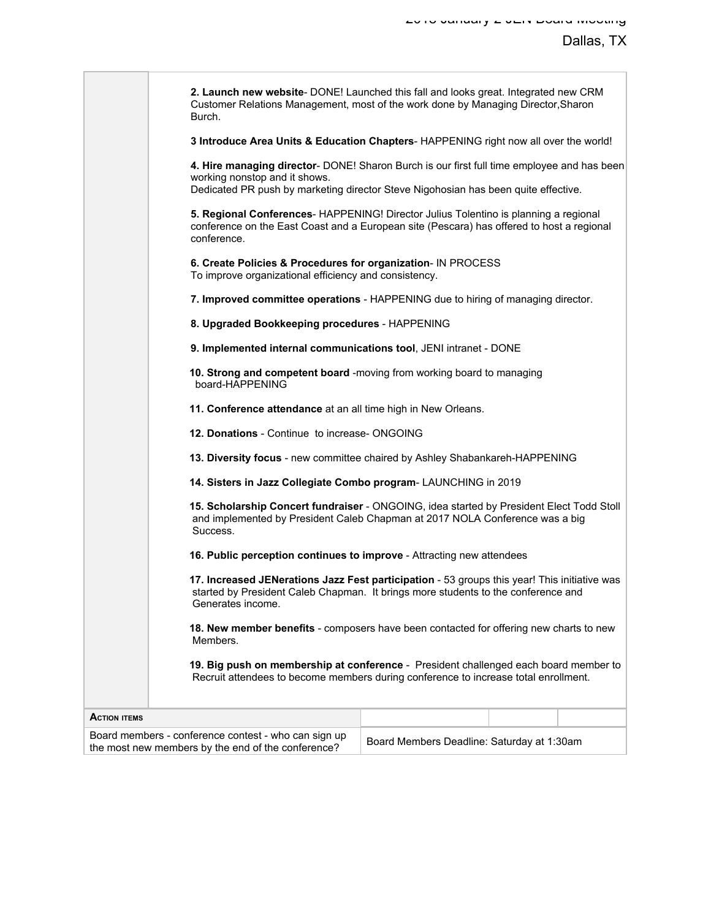|                     | 2. Launch new website- DONE! Launched this fall and looks great. Integrated new CRM<br>Customer Relations Management, most of the work done by Managing Director, Sharon<br>Burch.                                |                                                                                                                                                                                   |  |  |  |
|---------------------|-------------------------------------------------------------------------------------------------------------------------------------------------------------------------------------------------------------------|-----------------------------------------------------------------------------------------------------------------------------------------------------------------------------------|--|--|--|
|                     |                                                                                                                                                                                                                   | 3 Introduce Area Units & Education Chapters-HAPPENING right now all over the world!                                                                                               |  |  |  |
|                     | 4. Hire managing director- DONE! Sharon Burch is our first full time employee and has been<br>working nonstop and it shows.<br>Dedicated PR push by marketing director Steve Nigohosian has been quite effective. |                                                                                                                                                                                   |  |  |  |
|                     | conference.                                                                                                                                                                                                       | 5. Regional Conferences- HAPPENING! Director Julius Tolentino is planning a regional<br>conference on the East Coast and a European site (Pescara) has offered to host a regional |  |  |  |
|                     | 6. Create Policies & Procedures for organization- IN PROCESS<br>To improve organizational efficiency and consistency.                                                                                             |                                                                                                                                                                                   |  |  |  |
|                     | 7. Improved committee operations - HAPPENING due to hiring of managing director.                                                                                                                                  |                                                                                                                                                                                   |  |  |  |
|                     | 8. Upgraded Bookkeeping procedures - HAPPENING                                                                                                                                                                    |                                                                                                                                                                                   |  |  |  |
|                     |                                                                                                                                                                                                                   | 9. Implemented internal communications tool, JENI intranet - DONE                                                                                                                 |  |  |  |
|                     | board-HAPPENING                                                                                                                                                                                                   | 10. Strong and competent board -moving from working board to managing                                                                                                             |  |  |  |
|                     |                                                                                                                                                                                                                   | 11. Conference attendance at an all time high in New Orleans.                                                                                                                     |  |  |  |
|                     | 12. Donations - Continue to increase- ONGOING                                                                                                                                                                     |                                                                                                                                                                                   |  |  |  |
|                     | 13. Diversity focus - new committee chaired by Ashley Shabankareh-HAPPENING                                                                                                                                       |                                                                                                                                                                                   |  |  |  |
|                     |                                                                                                                                                                                                                   | 14. Sisters in Jazz Collegiate Combo program- LAUNCHING in 2019                                                                                                                   |  |  |  |
|                     | Success.                                                                                                                                                                                                          | 15. Scholarship Concert fundraiser - ONGOING, idea started by President Elect Todd Stoll<br>and implemented by President Caleb Chapman at 2017 NOLA Conference was a big          |  |  |  |
|                     |                                                                                                                                                                                                                   | 16. Public perception continues to improve - Attracting new attendees                                                                                                             |  |  |  |
|                     | 17. Increased JENerations Jazz Fest participation - 53 groups this year! This initiative was<br>started by President Caleb Chapman. It brings more students to the conference and<br>Generates income.            |                                                                                                                                                                                   |  |  |  |
|                     | 18. New member benefits - composers have been contacted for offering new charts to new<br>Members.                                                                                                                |                                                                                                                                                                                   |  |  |  |
|                     | 19. Big push on membership at conference - President challenged each board member to<br>Recruit attendees to become members during conference to increase total enrollment.                                       |                                                                                                                                                                                   |  |  |  |
| <b>ACTION ITEMS</b> |                                                                                                                                                                                                                   |                                                                                                                                                                                   |  |  |  |
|                     | Board members - conference contest - who can sign up<br>the most new members by the end of the conference?                                                                                                        | Board Members Deadline: Saturday at 1:30am                                                                                                                                        |  |  |  |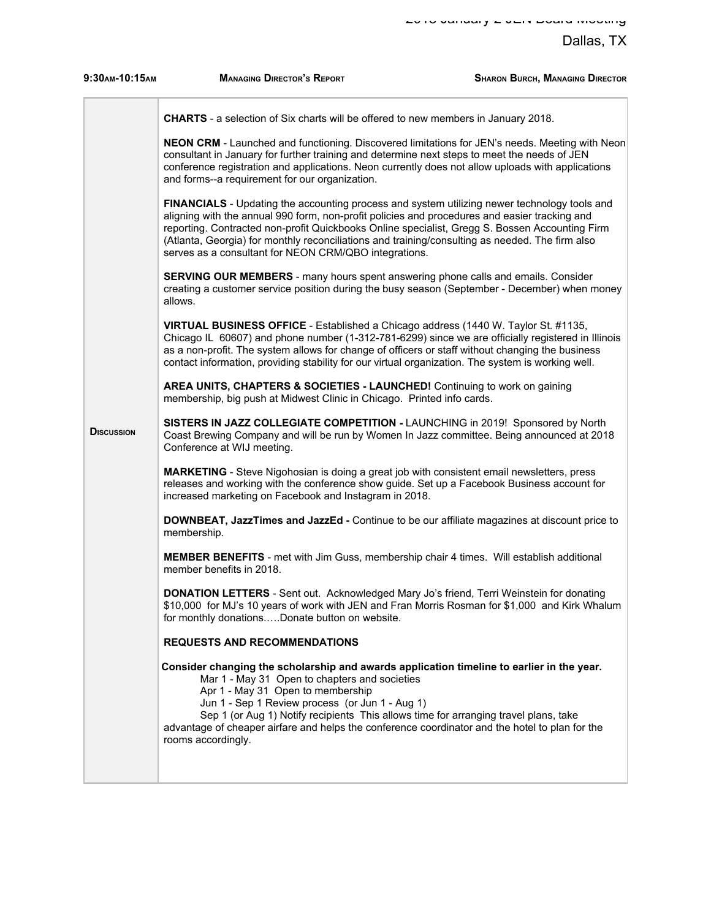| 9:30AM-10:15AM     | <b>MANAGING DIRECTOR'S REPORT</b>                                                                                                                                                                                                                                                                                                                                                                                                                           | <b>SHARON BURCH, MANAGING DIRECTOR</b> |
|--------------------|-------------------------------------------------------------------------------------------------------------------------------------------------------------------------------------------------------------------------------------------------------------------------------------------------------------------------------------------------------------------------------------------------------------------------------------------------------------|----------------------------------------|
|                    | CHARTS - a selection of Six charts will be offered to new members in January 2018.                                                                                                                                                                                                                                                                                                                                                                          |                                        |
|                    | NEON CRM - Launched and functioning. Discovered limitations for JEN's needs. Meeting with Neon<br>consultant in January for further training and determine next steps to meet the needs of JEN<br>conference registration and applications. Neon currently does not allow uploads with applications<br>and forms--a requirement for our organization.                                                                                                       |                                        |
|                    | FINANCIALS - Updating the accounting process and system utilizing newer technology tools and<br>aligning with the annual 990 form, non-profit policies and procedures and easier tracking and<br>reporting. Contracted non-profit Quickbooks Online specialist, Gregg S. Bossen Accounting Firm<br>(Atlanta, Georgia) for monthly reconciliations and training/consulting as needed. The firm also<br>serves as a consultant for NEON CRM/QBO integrations. |                                        |
|                    | <b>SERVING OUR MEMBERS</b> - many hours spent answering phone calls and emails. Consider<br>creating a customer service position during the busy season (September - December) when money<br>allows.                                                                                                                                                                                                                                                        |                                        |
|                    | VIRTUAL BUSINESS OFFICE - Established a Chicago address (1440 W. Taylor St. #1135,<br>Chicago IL 60607) and phone number (1-312-781-6299) since we are officially registered in Illinois<br>as a non-profit. The system allows for change of officers or staff without changing the business<br>contact information, providing stability for our virtual organization. The system is working well.                                                          |                                        |
|                    | AREA UNITS, CHAPTERS & SOCIETIES - LAUNCHED! Continuing to work on gaining<br>membership, big push at Midwest Clinic in Chicago. Printed info cards.                                                                                                                                                                                                                                                                                                        |                                        |
| <b>D</b> ISCUSSION | SISTERS IN JAZZ COLLEGIATE COMPETITION - LAUNCHING in 2019! Sponsored by North<br>Coast Brewing Company and will be run by Women In Jazz committee. Being announced at 2018<br>Conference at WIJ meeting.                                                                                                                                                                                                                                                   |                                        |
|                    | <b>MARKETING</b> - Steve Nigohosian is doing a great job with consistent email newsletters, press<br>releases and working with the conference show guide. Set up a Facebook Business account for<br>increased marketing on Facebook and Instagram in 2018.                                                                                                                                                                                                  |                                        |
|                    | DOWNBEAT, JazzTimes and JazzEd - Continue to be our affiliate magazines at discount price to<br>membership.                                                                                                                                                                                                                                                                                                                                                 |                                        |
|                    | <b>MEMBER BENEFITS</b> - met with Jim Guss, membership chair 4 times. Will establish additional<br>member benefits in 2018.                                                                                                                                                                                                                                                                                                                                 |                                        |
|                    | <b>DONATION LETTERS</b> - Sent out. Acknowledged Mary Jo's friend, Terri Weinstein for donating<br>\$10,000 for MJ's 10 years of work with JEN and Fran Morris Rosman for \$1,000 and Kirk Whalum<br>for monthly donationsDonate button on website.                                                                                                                                                                                                         |                                        |
|                    | <b>REQUESTS AND RECOMMENDATIONS</b>                                                                                                                                                                                                                                                                                                                                                                                                                         |                                        |
|                    | Consider changing the scholarship and awards application timeline to earlier in the year.<br>Mar 1 - May 31 Open to chapters and societies<br>Apr 1 - May 31 Open to membership<br>Jun 1 - Sep 1 Review process (or Jun 1 - Aug 1)<br>Sep 1 (or Aug 1) Notify recipients This allows time for arranging travel plans, take<br>advantage of cheaper airfare and helps the conference coordinator and the hotel to plan for the<br>rooms accordingly.         |                                        |
|                    |                                                                                                                                                                                                                                                                                                                                                                                                                                                             |                                        |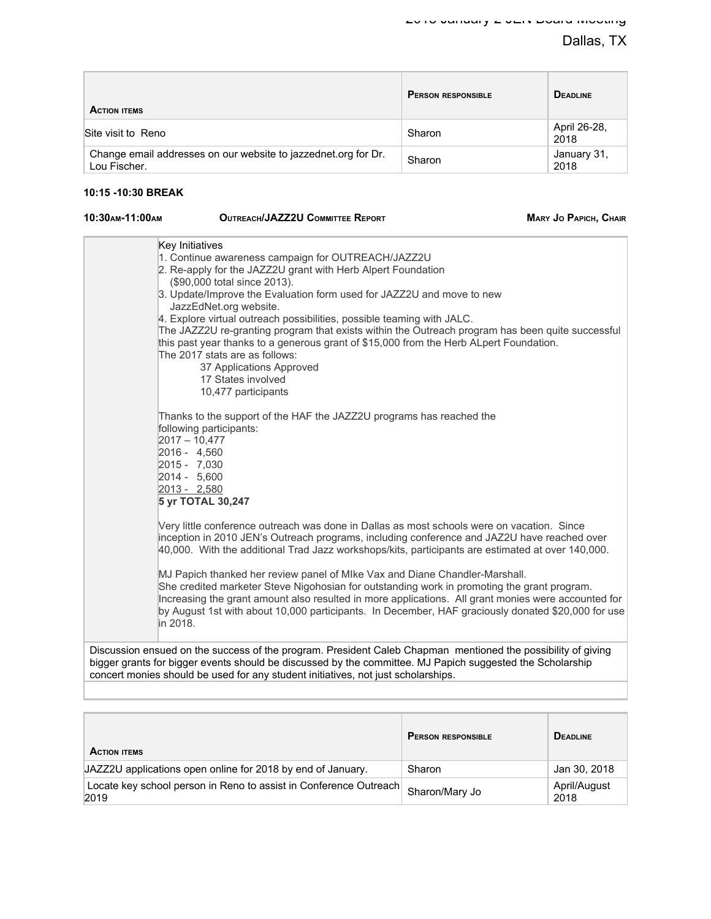| <b>ACTION ITEMS</b>                                                            | <b>PERSON RESPONSIBLE</b> | <b>DEADLINE</b>      |
|--------------------------------------------------------------------------------|---------------------------|----------------------|
| Site visit to Reno                                                             | Sharon                    | April 26-28,<br>2018 |
| Change email addresses on our website to jazzednet org for Dr.<br>Lou Fischer. | Sharon                    | January 31,<br>2018  |

## **10:15 -10:30 BREAK**

| 10:30 AM-11:00 AM | OUTREACH/JAZZ |
|-------------------|---------------|
|                   |               |

**10:30 AM-11:30 AM-11:00 AM-11:00 AM-11:00 AM-11:00 AM-11:00 PAPICH, CHAIR** 

| Key Initiatives<br>1. Continue awareness campaign for OUTREACH/JAZZ2U<br>2. Re-apply for the JAZZ2U grant with Herb Alpert Foundation                                                                                                                                                                                                                                                               |
|-----------------------------------------------------------------------------------------------------------------------------------------------------------------------------------------------------------------------------------------------------------------------------------------------------------------------------------------------------------------------------------------------------|
| (\$90,000 total since 2013).                                                                                                                                                                                                                                                                                                                                                                        |
| 3. Update/Improve the Evaluation form used for JAZZ2U and move to new<br>JazzEdNet.org website.                                                                                                                                                                                                                                                                                                     |
| 4. Explore virtual outreach possibilities, possible teaming with JALC.<br>The JAZZ2U re-granting program that exists within the Outreach program has been quite successful<br>this past year thanks to a generous grant of \$15,000 from the Herb ALpert Foundation.<br>The 2017 stats are as follows:<br>37 Applications Approved<br>17 States involved<br>10,477 participants                     |
|                                                                                                                                                                                                                                                                                                                                                                                                     |
| Thanks to the support of the HAF the JAZZ2U programs has reached the<br>following participants:<br>$2017 - 10,477$<br>2016 - 4.560<br>2015 - 7,030<br>2014 - 5,600<br>2013 - 2,580<br>5 yr TOTAL 30,247                                                                                                                                                                                             |
| Very little conference outreach was done in Dallas as most schools were on vacation. Since<br>inception in 2010 JEN's Outreach programs, including conference and JAZ2U have reached over<br>40,000. With the additional Trad Jazz workshops/kits, participants are estimated at over 140,000.                                                                                                      |
| MJ Papich thanked her review panel of MIke Vax and Diane Chandler-Marshall.<br>She credited marketer Steve Nigohosian for outstanding work in promoting the grant program.<br>Increasing the grant amount also resulted in more applications. All grant monies were accounted for<br>by August 1st with about 10,000 participants. In December, HAF graciously donated \$20,000 for use<br>in 2018. |
| Discussion ensued on the success of the program. President Caleb Chapman mentioned the possibility of giving                                                                                                                                                                                                                                                                                        |
| bigger grants for bigger events should be discussed by the committee. MJ Papich suggested the Scholarship                                                                                                                                                                                                                                                                                           |

| <b>ACTION ITEMS</b>                                                       | <b>PERSON RESPONSIBLE</b> | <b>DEADLINE</b>      |
|---------------------------------------------------------------------------|---------------------------|----------------------|
| JAZZ2U applications open online for 2018 by end of January.               | Sharon                    | Jan 30, 2018         |
| Locate key school person in Reno to assist in Conference Outreach<br>2019 | ⊪ Sharon/Mary Jo          | April/August<br>2018 |

concert monies should be used for any student initiatives, not just scholarships.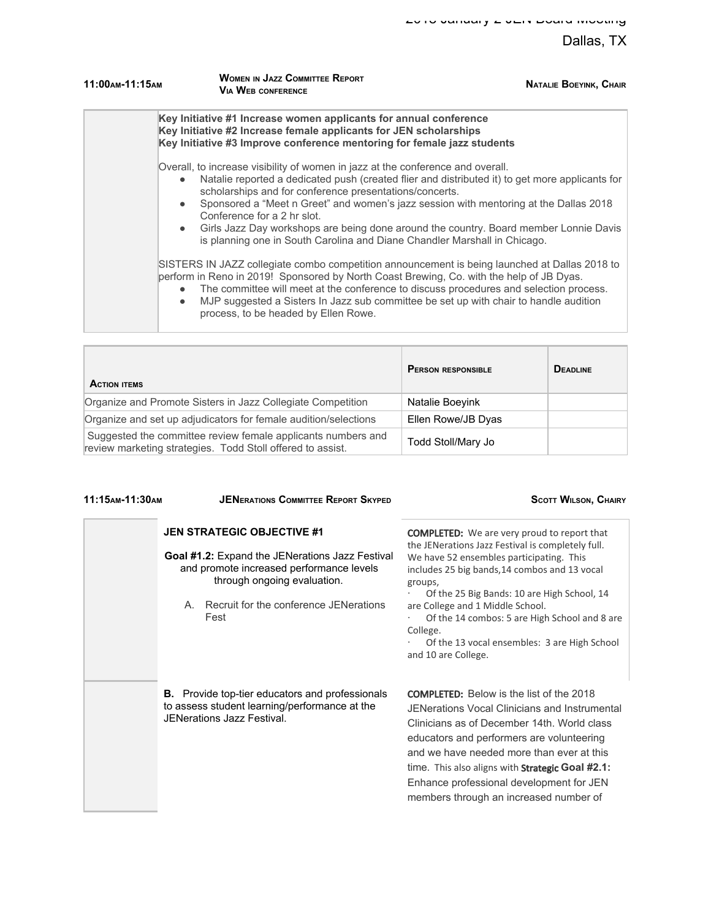| 11:00 AM-11:15 AM      | <b>WOMEN IN JAZZ COMMITTEE REPORT</b><br><b>VIA WEB CONFERENCE</b>                                                                                                                                                                                                                                                                                                                                                                                                                                                                            | <b>NATALIE BOEYINK, CHAIR</b> |
|------------------------|-----------------------------------------------------------------------------------------------------------------------------------------------------------------------------------------------------------------------------------------------------------------------------------------------------------------------------------------------------------------------------------------------------------------------------------------------------------------------------------------------------------------------------------------------|-------------------------------|
|                        | Key Initiative #1 Increase women applicants for annual conference<br>Key Initiative #2 Increase female applicants for JEN scholarships<br>Key Initiative #3 Improve conference mentoring for female jazz students                                                                                                                                                                                                                                                                                                                             |                               |
| $\bullet$<br>$\bullet$ | Overall, to increase visibility of women in jazz at the conference and overall.<br>Natalie reported a dedicated push (created flier and distributed it) to get more applicants for<br>scholarships and for conference presentations/concerts.<br>Sponsored a "Meet n Greet" and women's jazz session with mentoring at the Dallas 2018<br>Conference for a 2 hr slot.<br>• Girls Jazz Day workshops are being done around the country. Board member Lonnie Davis<br>is planning one in South Carolina and Diane Chandler Marshall in Chicago. |                               |
| $\bullet$              | SISTERS IN JAZZ collegiate combo competition announcement is being launched at Dallas 2018 to<br>perform in Reno in 2019! Sponsored by North Coast Brewing, Co. with the help of JB Dyas.<br>The committee will meet at the conference to discuss procedures and selection process.                                                                                                                                                                                                                                                           |                               |

● MJP suggested a Sisters In Jazz sub committee be set up with chair to handle audition process, to be headed by Ellen Rowe.

| <b>ACTION ITEMS</b>                                                                                                        | <b>PERSON RESPONSIBLE</b> | <b>DEADLINE</b> |
|----------------------------------------------------------------------------------------------------------------------------|---------------------------|-----------------|
| Organize and Promote Sisters in Jazz Collegiate Competition                                                                | Natalie Boeyink           |                 |
| Organize and set up adjudicators for female audition/selections                                                            | Ellen Rowe/JB Dyas        |                 |
| Suggested the committee review female applicants numbers and<br>review marketing strategies. Todd Stoll offered to assist. | Todd Stoll/Mary Jo        |                 |

| 11:15AM-11:30AM | <b>JENERATIONS COMMITTEE REPORT SKYPED</b>                                                                                                   | <b>SCOTT WILSON, CHAIRY</b>                                                                                                                                                                                                                                                                                                                                                                |
|-----------------|----------------------------------------------------------------------------------------------------------------------------------------------|--------------------------------------------------------------------------------------------------------------------------------------------------------------------------------------------------------------------------------------------------------------------------------------------------------------------------------------------------------------------------------------------|
|                 | <b>JEN STRATEGIC OBJECTIVE #1</b>                                                                                                            | <b>COMPLETED:</b> We are very proud to report that<br>the JENerations Jazz Festival is completely full.                                                                                                                                                                                                                                                                                    |
|                 | <b>Goal #1.2:</b> Expand the JENerations Jazz Festival<br>and promote increased performance levels<br>through ongoing evaluation.            | We have 52 ensembles participating. This<br>includes 25 big bands, 14 combos and 13 vocal<br>groups,<br>Of the 25 Big Bands: 10 are High School, 14                                                                                                                                                                                                                                        |
|                 | Recruit for the conference JFNerations<br>$A_{\cdot}$<br>Fest                                                                                | are College and 1 Middle School.<br>Of the 14 combos: 5 are High School and 8 are<br>College.<br>Of the 13 vocal ensembles: 3 are High School<br>and 10 are College.                                                                                                                                                                                                                       |
|                 | <b>B.</b> Provide top-tier educators and professionals<br>to assess student learning/performance at the<br><b>JENerations Jazz Festival.</b> | <b>COMPLETED:</b> Below is the list of the 2018<br>JENerations Vocal Clinicians and Instrumental<br>Clinicians as of December 14th. World class<br>educators and performers are volunteering<br>and we have needed more than ever at this<br>time. This also aligns with <b>Strategic Goal #2.1:</b><br>Enhance professional development for JEN<br>members through an increased number of |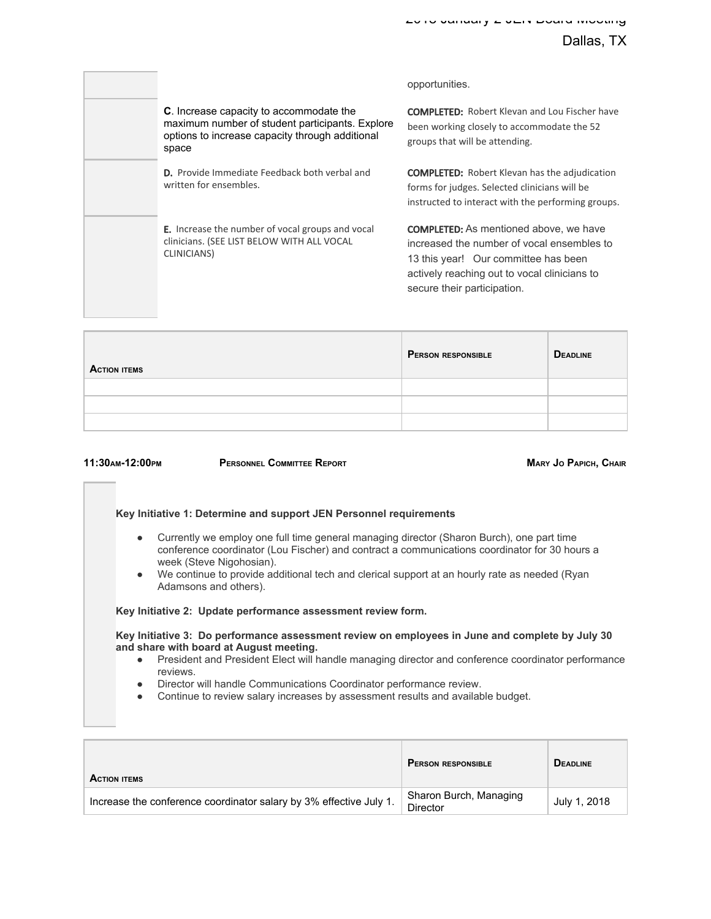|                                                                                                                                                               | opportunities.                                                                                                                                                                                                     |
|---------------------------------------------------------------------------------------------------------------------------------------------------------------|--------------------------------------------------------------------------------------------------------------------------------------------------------------------------------------------------------------------|
| <b>C.</b> Increase capacity to accommodate the<br>maximum number of student participants. Explore<br>options to increase capacity through additional<br>space | <b>COMPLETED:</b> Robert Klevan and Lou Fischer have<br>been working closely to accommodate the 52<br>groups that will be attending.                                                                               |
| <b>D.</b> Provide Immediate Feedback both verbal and<br>written for ensembles.                                                                                | <b>COMPLETED:</b> Robert Klevan has the adjudication<br>forms for judges. Selected clinicians will be<br>instructed to interact with the performing groups.                                                        |
| <b>E.</b> Increase the number of vocal groups and vocal<br>clinicians. (SEE LIST BELOW WITH ALL VOCAL<br>CLINICIANS)                                          | <b>COMPLETED:</b> As mentioned above, we have<br>increased the number of vocal ensembles to<br>13 this year! Our committee has been<br>actively reaching out to vocal clinicians to<br>secure their participation. |

| <b>ACTION ITEMS</b> | <b>PERSON RESPONSIBLE</b> | <b>DEADLINE</b> |
|---------------------|---------------------------|-----------------|
|                     |                           |                 |
|                     |                           |                 |
|                     |                           |                 |

**11:30AM-12:00PM PERSONNEL COMMITTEE REPORT MARY JO PAPICH, CHAIR**

### **Key Initiative 1: Determine and support JEN Personnel requirements**

- Currently we employ one full time general managing director (Sharon Burch), one part time conference coordinator (Lou Fischer) and contract a communications coordinator for 30 hours a week (Steve Nigohosian).
- We continue to provide additional tech and clerical support at an hourly rate as needed (Ryan Adamsons and others).

#### **Key Initiative 2: Update performance assessment review form.**

**Key Initiative 3: Do performance assessment review on employees in June and complete by July 30 and share with board at August meeting.**

- President and President Elect will handle managing director and conference coordinator performance reviews.
- Director will handle Communications Coordinator performance review.
- Continue to review salary increases by assessment results and available budget.

| <b>ACTION ITEMS</b>                                                | <b>PERSON RESPONSIBLE</b>                 | <b>DEADLINE</b> |
|--------------------------------------------------------------------|-------------------------------------------|-----------------|
| Increase the conference coordinator salary by 3% effective July 1. | Sharon Burch, Managing<br><b>Director</b> | July 1, 2018    |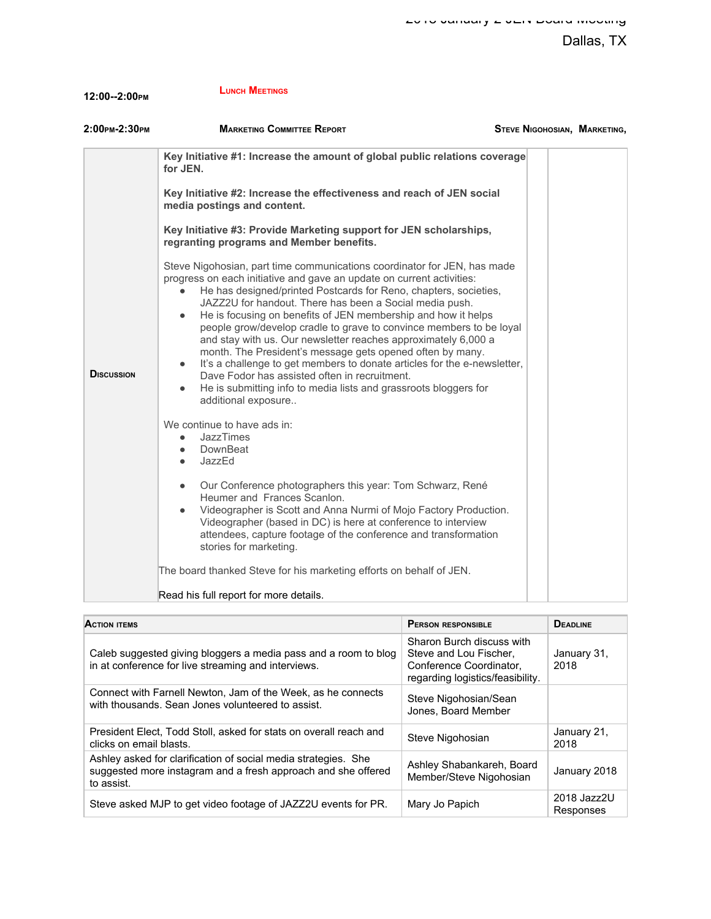| <b>LUNCH MEETINGS</b>                                                                                |                                                                                                            |
|------------------------------------------------------------------------------------------------------|------------------------------------------------------------------------------------------------------------|
| <b>MARKETING COMMITTEE REPORT</b>                                                                    |                                                                                                            |
| for JEN.                                                                                             |                                                                                                            |
| Key Initiative #2: Increase the effectiveness and reach of JEN social<br>media postings and content. |                                                                                                            |
| 12:00--2:00PM<br>$2:00$ PM-2:30PM                                                                    | STEVE NIGOHOSIAN, MARKETING,<br>Key Initiative #1: Increase the amount of global public relations coverage |

**Key Initiative #3: Provide Marketing support for JEN scholarships, regranting programs and Member benefits.**

| Steve Nigohosian, part time communications coordinator for JEN, has made |  |
|--------------------------------------------------------------------------|--|
| progress on each initiative and gave an update on current activities:    |  |
| • He has designed/printed Postcards for Reno, chapters, societies,       |  |
| JAZZ2U for handout. There has been a Social media push.                  |  |
| a and the federation of the of IEM membership and bould believe          |  |

- He is focusing on benefits of JEN membership and how it helps people grow/develop cradle to grave to convince members to be loyal and stay with us. Our newsletter reaches approximately 6,000 a month. The President's message gets opened often by many. It's a challenge to get members to donate articles for the e-newsletter,
- Dave Fodor has assisted often in recruitment. ● He is submitting info to media lists and grassroots bloggers for additional exposure..

We continue to have ads in:

**DISCUSSION**

| $\bullet$ | JazzTimes                                                                                |
|-----------|------------------------------------------------------------------------------------------|
|           | DownBeat                                                                                 |
| $\bullet$ | JazzEd                                                                                   |
|           | Our Conference photographers this year: Tom Schwarz, René<br>Heumer and Frances Scanlon. |
|           | Videographer is Scott and Anna Nurmi of Moio Eactory Product                             |

Videographer is Scott and Anna Nurmi of Mojo Factory Production. Videographer (based in DC) is here at conference to interview attendees, capture footage of the conference and transformation stories for marketing.

The board thanked Steve for his marketing efforts on behalf of JEN.

Read his full report for more details.

| <b>ACTION ITEMS</b>                                                                                                                           | <b>PERSON RESPONSIBLE</b>                                                                                          | <b>DEADLINE</b>          |
|-----------------------------------------------------------------------------------------------------------------------------------------------|--------------------------------------------------------------------------------------------------------------------|--------------------------|
| Caleb suggested giving bloggers a media pass and a room to blog<br>in at conference for live streaming and interviews.                        | Sharon Burch discuss with<br>Steve and Lou Fischer.<br>Conference Coordinator.<br>regarding logistics/feasibility. | January 31,<br>2018      |
| Connect with Farnell Newton, Jam of the Week, as he connects<br>with thousands. Sean Jones volunteered to assist.                             | Steve Nigohosian/Sean<br>Jones, Board Member                                                                       |                          |
| President Elect, Todd Stoll, asked for stats on overall reach and<br>clicks on email blasts.                                                  | Steve Nigohosian                                                                                                   | January 21,<br>2018      |
| Ashley asked for clarification of social media strategies. She<br>suggested more instagram and a fresh approach and she offered<br>to assist. | Ashley Shabankareh, Board<br>Member/Steve Nigohosian                                                               | January 2018             |
| Steve asked MJP to get video footage of JAZZ2U events for PR.                                                                                 | Mary Jo Papich                                                                                                     | 2018 Jazz2U<br>Responses |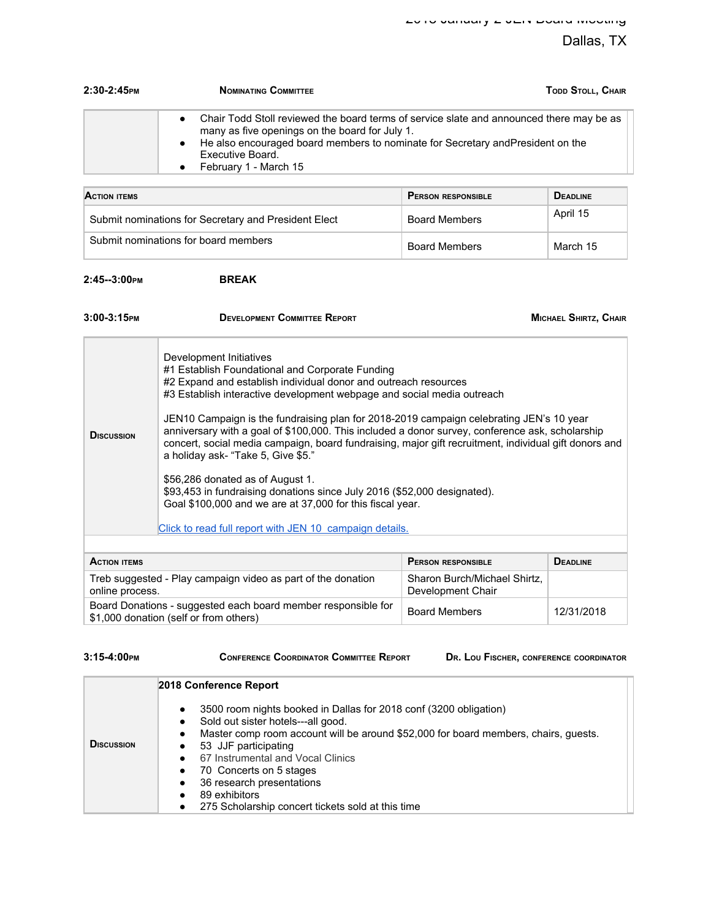| $2:30-2:45$ PM | TODD STOLL, CHAIR<br><b>NOMINATING COMMITTEE</b>                                                                                                                                                                                                                            |
|----------------|-----------------------------------------------------------------------------------------------------------------------------------------------------------------------------------------------------------------------------------------------------------------------------|
|                | Chair Todd Stoll reviewed the board terms of service slate and announced there may be as<br>many as five openings on the board for July 1.<br>• He also encouraged board members to nominate for Secretary andPresident on the<br>Executive Board.<br>February 1 - March 15 |

| <b>ACTION ITEMS</b>                                  | <b>PERSON RESPONSIBLE</b> | <b>DEADLINE</b> |
|------------------------------------------------------|---------------------------|-----------------|
| Submit nominations for Secretary and President Elect | <b>Board Members</b>      | April 15        |
| Submit nominations for board members                 | <b>Board Members</b>      | March 15        |

**2:45--3:00PM BREAK**

| 3:00-3:15PM                                                                                             | <b>DEVELOPMENT COMMITTEE REPORT</b>                                                                                                                                                                                                                                                                                                                                                                                                                                                                                                                                                                                                                                                                                                                                                                          |                              | MICHAEL SHIRTZ, CHAIR |
|---------------------------------------------------------------------------------------------------------|--------------------------------------------------------------------------------------------------------------------------------------------------------------------------------------------------------------------------------------------------------------------------------------------------------------------------------------------------------------------------------------------------------------------------------------------------------------------------------------------------------------------------------------------------------------------------------------------------------------------------------------------------------------------------------------------------------------------------------------------------------------------------------------------------------------|------------------------------|-----------------------|
| <b>DISCUSSION</b>                                                                                       | Development Initiatives<br>#1 Establish Foundational and Corporate Funding<br>#2 Expand and establish individual donor and outreach resources<br>#3 Establish interactive development webpage and social media outreach<br>JEN10 Campaign is the fundraising plan for 2018-2019 campaign celebrating JEN's 10 year<br>anniversary with a goal of \$100,000. This included a donor survey, conference ask, scholarship<br>concert, social media campaign, board fundraising, major gift recruitment, individual gift donors and<br>a holiday ask- "Take 5, Give \$5."<br>\$56,286 donated as of August 1.<br>\$93,453 in fundraising donations since July 2016 (\$52,000 designated).<br>Goal \$100,000 and we are at 37,000 for this fiscal year.<br>Click to read full report with JEN 10 campaign details. |                              |                       |
| <b>ACTION ITEMS</b>                                                                                     |                                                                                                                                                                                                                                                                                                                                                                                                                                                                                                                                                                                                                                                                                                                                                                                                              | <b>PERSON RESPONSIBLE</b>    | <b>DEADLINE</b>       |
| Treb suggested - Play campaign video as part of the donation                                            |                                                                                                                                                                                                                                                                                                                                                                                                                                                                                                                                                                                                                                                                                                                                                                                                              | Sharon Burch/Michael Shirtz, |                       |
| online process.                                                                                         |                                                                                                                                                                                                                                                                                                                                                                                                                                                                                                                                                                                                                                                                                                                                                                                                              | Development Chair            |                       |
| Board Donations - suggested each board member responsible for<br>\$1,000 donation (self or from others) |                                                                                                                                                                                                                                                                                                                                                                                                                                                                                                                                                                                                                                                                                                                                                                                                              | <b>Board Members</b>         | 12/31/2018            |

| $3:15-4:00$ PM |  |
|----------------|--|
|                |  |

**3:25-4:35-4:00 COORDINATOR COMMITTEE REPORT DR. LOU FISCHER, CONFERENCE COORDINATOR** 

| <b>DISCUSSION</b> |
|-------------------|